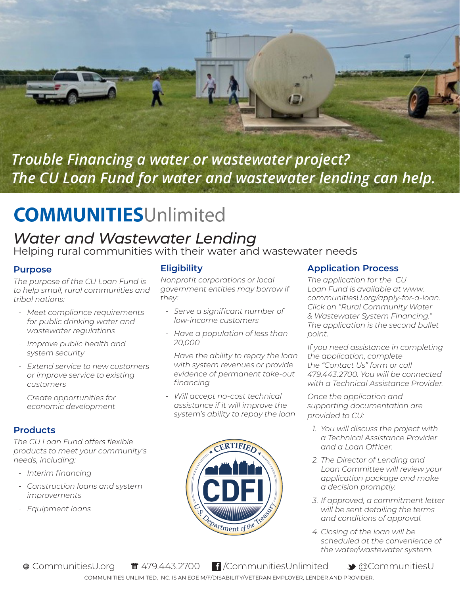

*Trouble Financing a water or wastewater project? The CU Loan Fund for water and wastewater lending can help.*

# **COMMUNITIESUnlimited**

## *Water and Wastewater Lending*

Helping rural communities with their water and wastewater needs

#### **Purpose**

*The purpose of the CU Loan Fund is to help small, rural communities and tribal nations:*

- *- Meet compliance requirements for public drinking water and wastewater regulations*
- *- Improve public health and system security*
- *- Extend service to new customers or improve service to existing customers*
- *- Create opportunities for economic development*

#### **Products**

*The CU Loan Fund offers flexible products to meet your community's needs, including:*

- *- Interim financing*
- *- Construction loans and system improvements*
- *- Equipment loans*

#### **Eligibility**

*Nonprofit corporations or local government entities may borrow if they:*

- *- Serve a significant number of low-income customers*
- *- Have a population of less than 20,000*
- *- Have the ability to repay the loan with system revenues or provide evidence of permanent take-out financing*
- *- Will accept no-cost technical assistance if it will improve the system's ability to repay the loan*



#### **Application Process**

*The application for the CU Loan Fund is available at www. communitiesU.org/apply-for-a-loan. Click on "Rural Community Water & Wastewater System Financing." The application is the second bullet point.*

*If you need assistance in completing the application, complete the "Contact Us" form or call 479.443.2700. You will be connected with a Technical Assistance Provider.*

*Once the application and supporting documentation are provided to CU:*

- *1. You will discuss the project with a Technical Assistance Provider and a Loan Officer.*
- *2. The Director of Lending and Loan Committee will review your application package and make a decision promptly.*
- *3. If approved, a commitment letter will be sent detailing the terms and conditions of approval.*
- *4. Closing of the loan will be scheduled at the convenience of the water/wastewater system.*

COMMUNITIES UNLIMITED, INC. IS AN EOE M/F/DISABILITY/VETERAN EMPLOYER, LENDER AND PROVIDER. ⊕ CommunitiesU.org f 479.443.2700 f /CommunitiesUnlimited → @CommunitiesU